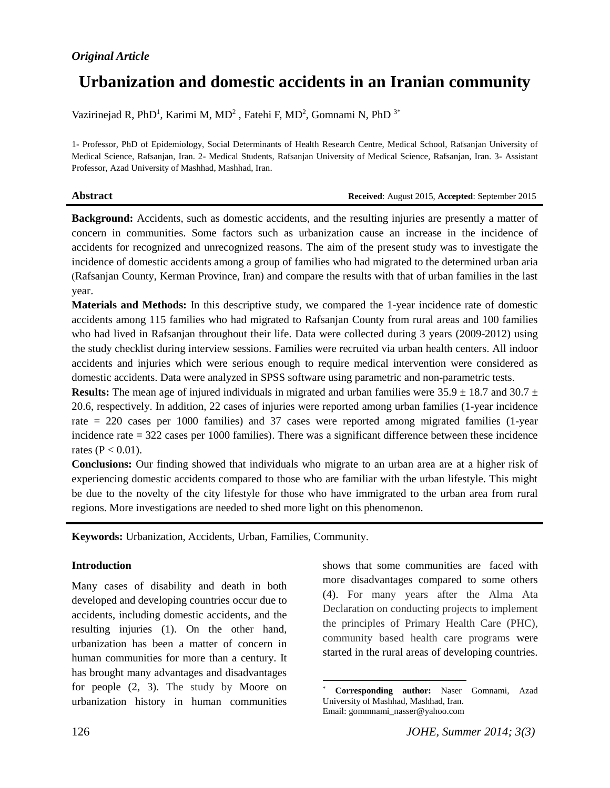# *Original Article*

# **Urbanization and domestic accidents in an Iranian community**

Vazirinejad R, PhD<sup>1</sup>, Karimi M, MD<sup>2</sup>, Fatehi F, MD<sup>2</sup>, Gomnami N, PhD<sup>3\*</sup>

1- Professor, PhD of Epidemiology, Social Determinants of Health Research Centre, Medical School, Rafsanjan University of Medical Science, Rafsanjan, Iran. 2- Medical Students, Rafsanjan University of Medical Science, Rafsanjan, Iran. 3- Assistant Professor, Azad University of Mashhad, Mashhad, Iran.

**Abstract Received**: August 2015, **Accepted**: September 2015

**Background:** Accidents, such as domestic accidents, and the resulting injuries are presently a matter of concern in communities. Some factors such as urbanization cause an increase in the incidence of accidents for recognized and unrecognized reasons. The aim of the present study was to investigate the incidence of domestic accidents among a group of families who had migrated to the determined urban aria (Rafsanjan County, Kerman Province, Iran) and compare the results with that of urban families in the last year.

**Materials and Methods:** In this descriptive study, we compared the 1-year incidence rate of domestic accidents among 115 families who had migrated to Rafsanjan County from rural areas and 100 families who had lived in Rafsanjan throughout their life. Data were collected during 3 years (2009-2012) using the study checklist during interview sessions. Families were recruited via urban health centers. All indoor accidents and injuries which were serious enough to require medical intervention were considered as domestic accidents. Data were analyzed in SPSS software using parametric and non-parametric tests.

**Results:** The mean age of injured individuals in migrated and urban families were  $35.9 \pm 18.7$  and  $30.7 \pm 10.7$ 20.6, respectively. In addition, 22 cases of injuries were reported among urban families (1-year incidence rate = 220 cases per 1000 families) and 37 cases were reported among migrated families (1-year incidence rate = 322 cases per 1000 families). There was a significant difference between these incidence rates ( $P < 0.01$ ).

**Conclusions:** Our finding showed that individuals who migrate to an urban area are at a higher risk of experiencing domestic accidents compared to those who are familiar with the urban lifestyle. This might be due to the novelty of the city lifestyle for those who have immigrated to the urban area from rural regions. More investigations are needed to shed more light on this phenomenon.

l

**Keywords:** Urbanization, Accidents, Urban, Families, Community.

#### **Introduction**

Many cases of disability and death in both developed and developing countries occur due to accidents, including domestic accidents, and the resulting injuries (1). On the other hand, urbanization has been a matter of concern in human communities for more than a century. It has brought many advantages and disadvantages for people (2, 3). The study by [Moore](http://www.sciencedirect.com/science/article/pii/S1438463904702230) on urbanization history in human communities

shows that some communities are\* faced with more disadvantages compared to some others (4). For many years after the Alma Ata Declaration on conducting projects to implement the principles of Primary Health Care (PHC), community based health care programs were started in the rural areas of developing countries.

<sup>\*</sup> **Corresponding author:** Naser Gomnami, Azad University of Mashhad, Mashhad, Iran. Email: gommnami\_nasser@yahoo.com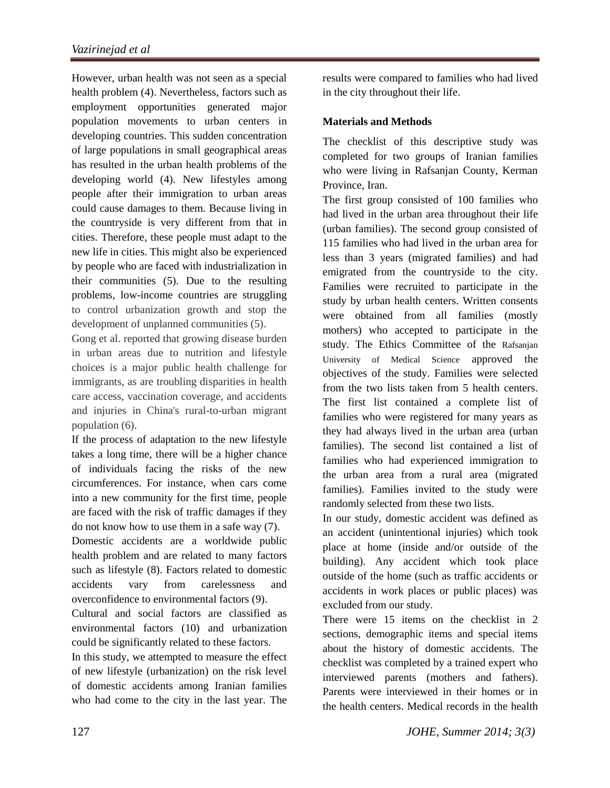However, urban health was not seen as a special health problem (4). Nevertheless, factors such as employment opportunities generated major population movements to urban centers in developing countries. This sudden concentration of large populations in small geographical areas has resulted in the urban health problems of the developing world (4). New lifestyles among people after their immigration to urban areas could cause damages to them. Because living in the countryside is very different from that in cities. Therefore, these people must adapt to the new life in cities. This might also be experienced by people who are faced with industrialization in their communities (5). Due to the resulting problems, low-income countries are struggling to control urbanization growth and stop the development of unplanned communities (5).

Gong et al. reported that growing disease burden in urban areas due to nutrition and lifestyle choices is a major public health challenge for immigrants, as are troubling disparities in health care access, vaccination coverage, and accidents and injuries in China's rural-to-urban migrant population (6).

If the process of adaptation to the new lifestyle takes a long time, there will be a higher chance of individuals facing the risks of the new circumferences. For instance, when cars come into a new community for the first time, people are faced with the risk of traffic damages if they do not know how to use them in a safe way (7).

Domestic accidents are a worldwide public health problem and are related to many factors such as lifestyle (8). Factors related to domestic accidents vary from carelessness and overconfidence to environmental factors (9).

Cultural and social factors are classified as environmental factors (10) and urbanization could be significantly related to these factors.

In this study, we attempted to measure the effect of new lifestyle (urbanization) on the risk level of domestic accidents among Iranian families who had come to the city in the last year. The

results were compared to families who had lived in the city throughout their life.

## **Materials and Methods**

The checklist of this descriptive study was completed for two groups of Iranian families who were living in Rafsanjan County, Kerman Province, Iran.

The first group consisted of 100 families who had lived in the urban area throughout their life (urban families). The second group consisted of 115 families who had lived in the urban area for less than 3 years (migrated families) and had emigrated from the countryside to the city. Families were recruited to participate in the study by urban health centers. Written consents were obtained from all families (mostly mothers) who accepted to participate in the study. The Ethics Committee of the Rafsanjan University of Medical Science approved the objectives of the study. Families were selected from the two lists taken from 5 health centers. The first list contained a complete list of families who were registered for many years as they had always lived in the urban area (urban families). The second list contained a list of families who had experienced immigration to the urban area from a rural area (migrated families). Families invited to the study were randomly selected from these two lists.

In our study, domestic accident was defined as an accident (unintentional injuries) which took place at home (inside and/or outside of the building). Any accident which took place outside of the home (such as traffic accidents or accidents in work places or public places) was excluded from our study.

There were 15 items on the checklist in 2 sections, demographic items and special items about the history of domestic accidents. The checklist was completed by a trained expert who interviewed parents (mothers and fathers). Parents were interviewed in their homes or in the health centers. Medical records in the health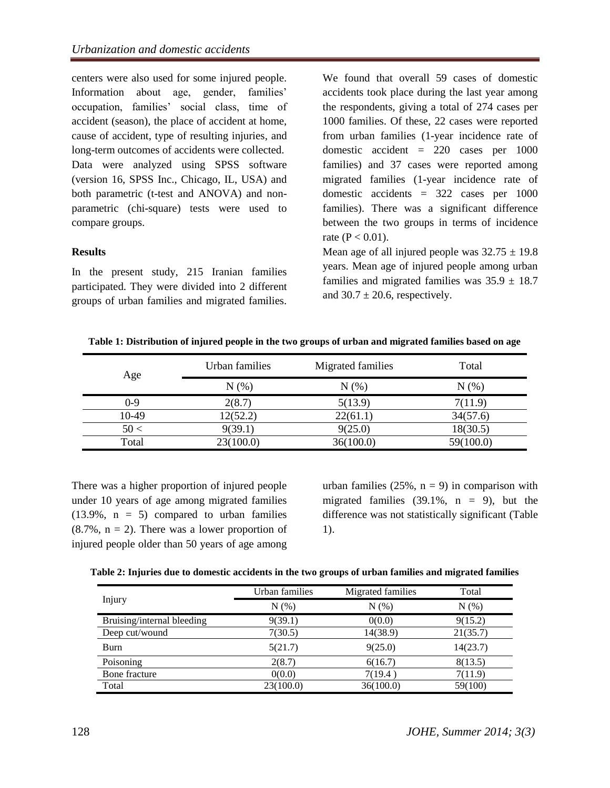centers were also used for some injured people. Information about age, gender, families' occupation, families' social class, time of accident (season), the place of accident at home, cause of accident, type of resulting injuries, and long-term outcomes of accidents were collected. Data were analyzed using SPSS software (version 16, SPSS Inc., Chicago, IL, USA) and both parametric (t-test and ANOVA) and nonparametric (chi-square) tests were used to compare groups.

### **Results**

In the present study, 215 Iranian families participated. They were divided into 2 different groups of urban families and migrated families.

We found that overall 59 cases of domestic accidents took place during the last year among the respondents, giving a total of 274 cases per 1000 families. Of these, 22 cases were reported from urban families (1-year incidence rate of domestic accident = 220 cases per 1000 families) and 37 cases were reported among migrated families (1-year incidence rate of domestic accidents = 322 cases per 1000 families). There was a significant difference between the two groups in terms of incidence rate ( $P < 0.01$ ).

Mean age of all injured people was  $32.75 \pm 19.8$ years. Mean age of injured people among urban families and migrated families was  $35.9 \pm 18.7$ and  $30.7 \pm 20.6$ , respectively.

**Table 1: Distribution of injured people in the two groups of urban and migrated families based on age**

| Age     | Urban families | Migrated families | Total     |
|---------|----------------|-------------------|-----------|
|         | N(%)           | N(%)              | N (%)     |
| $0 - 9$ | 2(8.7)         | 5(13.9)           | 7(11.9)   |
| 10-49   | 12(52.2)       | 22(61.1)          | 34(57.6)  |
| 50<     | 9(39.1)        | 9(25.0)           | 18(30.5)  |
| Total   | 23(100.0)      | 36(100.0)         | 59(100.0) |

There was a higher proportion of injured people under 10 years of age among migrated families  $(13.9\%$ ,  $n = 5)$  compared to urban families  $(8.7\%), n = 2)$ . There was a lower proportion of injured people older than 50 years of age among urban families  $(25\%, n = 9)$  in comparison with migrated families  $(39.1\% , n = 9)$ , but the difference was not statistically significant (Table 1).

| Table 2: Injuries due to domestic accidents in the two groups of urban families and migrated families |  |  |
|-------------------------------------------------------------------------------------------------------|--|--|
|-------------------------------------------------------------------------------------------------------|--|--|

|                            | Urban families | Migrated families | Total    |
|----------------------------|----------------|-------------------|----------|
| Injury                     | N(%)           | N(% )             | N(% )    |
| Bruising/internal bleeding | 9(39.1)        | 0(0.0)            | 9(15.2)  |
| Deep cut/wound             | 7(30.5)        | 14(38.9)          | 21(35.7) |
| Burn                       | 5(21.7)        | 9(25.0)           | 14(23.7) |
| Poisoning                  | 2(8.7)         | 6(16.7)           | 8(13.5)  |
| Bone fracture              | 0(0.0)         | 7(19.4)           | 7(11.9)  |
| Total                      | 23(100.0)      | 36(100.0)         | 59(100)  |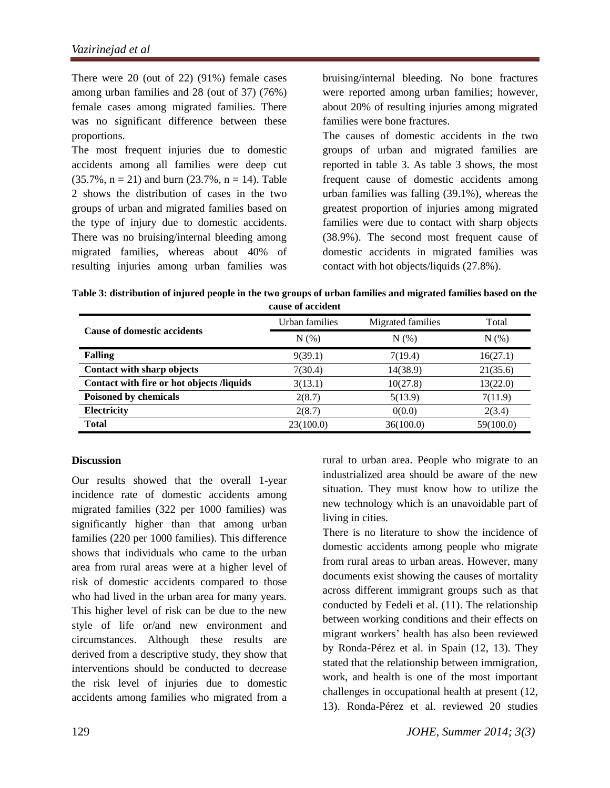There were 20 (out of 22) (91%) female cases among urban families and 28 (out of 37) (76%) female cases among migrated families. There was no significant difference between these proportions.

The most frequent injuries due to domestic accidents among all families were deep cut  $(35.7\%, n = 21)$  and burn  $(23.7\%, n = 14)$ . Table 2 shows the distribution of cases in the two groups of urban and migrated families based on the type of injury due to domestic accidents. There was no bruising/internal bleeding among migrated families, whereas about 40% of resulting injuries among urban families was bruising/internal bleeding. No bone fractures were reported among urban families; however, about 20% of resulting injuries among migrated families were bone fractures.

The causes of domestic accidents in the two groups of urban and migrated families are reported in table 3. As table 3 shows, the most frequent cause of domestic accidents among urban families was falling (39.1%), whereas the greatest proportion of injuries among migrated families were due to contact with sharp objects (38.9%). The second most frequent cause of domestic accidents in migrated families was contact with hot objects/liquids (27.8%).

**Table 3: distribution of injured people in the two groups of urban families and migrated families based on the cause of accident**

|                                           | Urban families | Migrated families | Total     |
|-------------------------------------------|----------------|-------------------|-----------|
| <b>Cause of domestic accidents</b>        | N(% )          | N(%)              | N(%)      |
| <b>Falling</b>                            | 9(39.1)        | 7(19.4)           | 16(27.1)  |
| Contact with sharp objects                | 7(30.4)        | 14(38.9)          | 21(35.6)  |
| Contact with fire or hot objects /liquids | 3(13.1)        | 10(27.8)          | 13(22.0)  |
| <b>Poisoned by chemicals</b>              | 2(8.7)         | 5(13.9)           | 7(11.9)   |
| Electricity                               | 2(8.7)         | 0(0.0)            | 2(3.4)    |
| <b>Total</b>                              | 23(100.0)      | 36(100.0)         | 59(100.0) |

#### **Discussion**

Our results showed that the overall 1-year incidence rate of domestic accidents among migrated families (322 per 1000 families) was significantly higher than that among urban families (220 per 1000 families). This difference shows that individuals who came to the urban area from rural areas were at a higher level of risk of domestic accidents compared to those who had lived in the urban area for many years. This higher level of risk can be due to the new style of life or/and new environment and circumstances. Although these results are derived from a descriptive study, they show that interventions should be conducted to decrease the risk level of injuries due to domestic accidents among families who migrated from a

rural to urban area. People who migrate to an industrialized area should be aware of the new situation. They must know how to utilize the new technology which is an unavoidable part of living in cities.

There is no literature to show the incidence of domestic accidents among people who migrate from rural areas to urban areas. However, many documents exist showing the causes of mortality across different immigrant groups such as that conducted by Fedeli et al. (11). The relationship between working conditions and their effects on migrant workers' health has also been reviewed by Ronda-Pérez et al. in Spain (12, 13). They stated that the relationship between immigration, work, and health is one of the most important challenges in occupational health at present (12, 13). Ronda-Pérez et al. reviewed 20 studies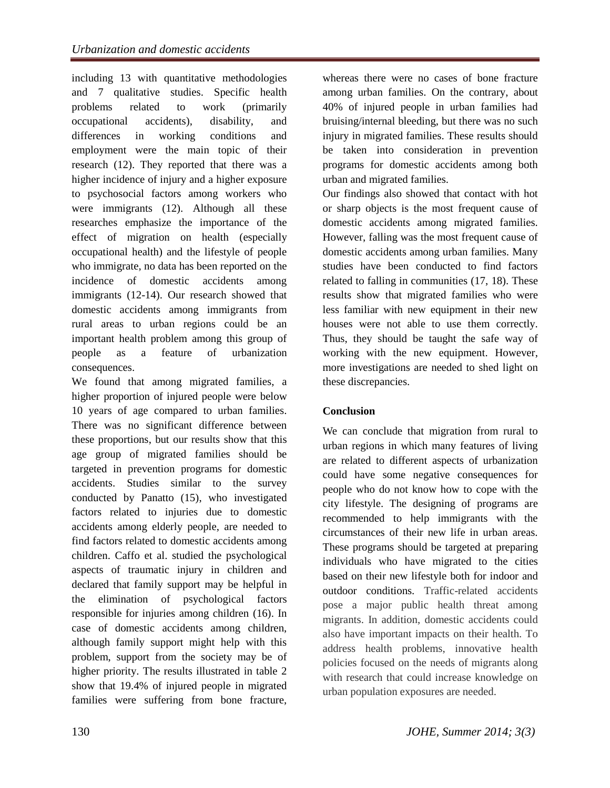including 13 with quantitative methodologies and 7 qualitative studies. Specific health problems related to work (primarily occupational accidents), disability, and differences in working conditions and employment were the main topic of their research (12). They reported that there was a higher incidence of injury and a higher exposure to psychosocial factors among workers who were immigrants (12). Although all these researches emphasize the importance of the effect of migration on health (especially occupational health) and the lifestyle of people who immigrate, no data has been reported on the incidence of domestic accidents among immigrants (12-14). Our research showed that domestic accidents among immigrants from rural areas to urban regions could be an important health problem among this group of people as a feature of urbanization consequences.

We found that among migrated families, a higher proportion of injured people were below 10 years of age compared to urban families. There was no significant difference between these proportions, but our results show that this age group of migrated families should be targeted in prevention programs for domestic accidents. Studies similar to the survey conducted by Panatto (15), who investigated factors related to injuries due to domestic accidents among elderly people, are needed to find factors related to domestic accidents among children. Caffo et al. studied the psychological aspects of traumatic injury in children and declared that family support may be helpful in the elimination of psychological factors responsible for injuries among children (16). In case of domestic accidents among children, although family support might help with this problem, support from the society may be of higher priority. The results illustrated in table 2 show that 19.4% of injured people in migrated families were suffering from bone fracture,

whereas there were no cases of bone fracture among urban families. On the contrary, about 40% of injured people in urban families had bruising/internal bleeding, but there was no such injury in migrated families. These results should be taken into consideration in prevention programs for domestic accidents among both urban and migrated families.

Our findings also showed that contact with hot or sharp objects is the most frequent cause of domestic accidents among migrated families. However, falling was the most frequent cause of domestic accidents among urban families. Many studies have been conducted to find factors related to falling in communities (17, 18). These results show that migrated families who were less familiar with new equipment in their new houses were not able to use them correctly. Thus, they should be taught the safe way of working with the new equipment. However, more investigations are needed to shed light on these discrepancies.

# **Conclusion**

We can conclude that migration from rural to urban regions in which many features of living are related to different aspects of urbanization could have some negative consequences for people who do not know how to cope with the city lifestyle. The designing of programs are recommended to help immigrants with the circumstances of their new life in urban areas. These programs should be targeted at preparing individuals who have migrated to the cities based on their new lifestyle both for indoor and outdoor conditions. Traffic-related accidents pose a major public health threat among migrants. In addition, domestic accidents could also have important impacts on their health. To address health problems, innovative health policies focused on the needs of migrants along with research that could increase knowledge on urban population exposures are needed.